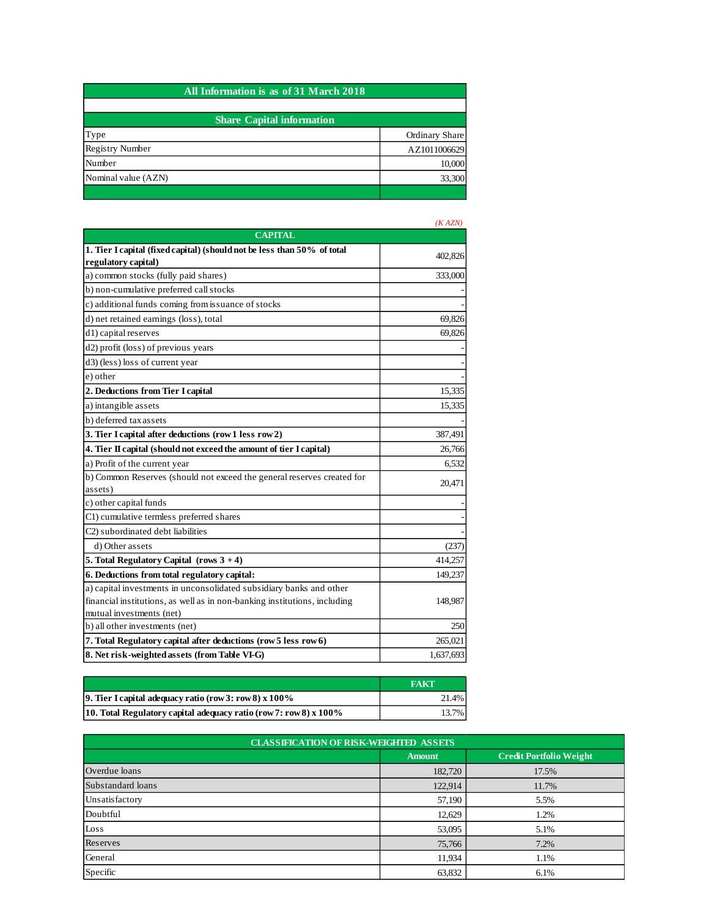| All Information is as of 31 March 2018 |                |  |
|----------------------------------------|----------------|--|
|                                        |                |  |
| <b>Share Capital information</b>       |                |  |
| Type                                   | Ordinary Share |  |
| <b>Registry Number</b>                 | AZ1011006629   |  |
| Number                                 | 10,000         |  |
| Nominal value (AZN)                    | 33,300         |  |
|                                        |                |  |

|                                                                           | $\mathbf{A}$ |
|---------------------------------------------------------------------------|--------------|
| <b>CAPITAL</b>                                                            |              |
| 1. Tier I capital (fixed capital) (should not be less than 50% of total   | 402,826      |
| regulatory capital)                                                       |              |
| a) common stocks (fully paid shares)                                      | 333,000      |
| b) non-cumulative preferred call stocks                                   |              |
| c) additional funds coming from issuance of stocks                        |              |
| d) net retained earnings (loss), total                                    | 69,826       |
| d1) capital reserves                                                      | 69,826       |
| d2) profit (loss) of previous years                                       |              |
| d3) (less) loss of current year                                           |              |
| e) other                                                                  |              |
| 2. Deductions from Tier I capital                                         | 15,335       |
| a) intangible assets                                                      | 15,335       |
| b) deferred tax assets                                                    |              |
| 3. Tier I capital after deductions (row 1 less row 2)                     | 387,491      |
| 4. Tier II capital (should not exceed the amount of tier I capital)       | 26,766       |
| a) Profit of the current year                                             | 6,532        |
| b) Common Reserves (should not exceed the general reserves created for    | 20,471       |
| assets)                                                                   |              |
| c) other capital funds                                                    |              |
| C1) cumulative termless preferred shares                                  |              |
| C2) subordinated debt liabilities                                         |              |
| d) Other assets                                                           | (237)        |
| 5. Total Regulatory Capital (rows $3 + 4$ )                               | 414,257      |
| 6. Deductions from total regulatory capital:                              | 149,237      |
| a) capital investments in unconsolidated subsidiary banks and other       |              |
| financial institutions, as well as in non-banking institutions, including | 148,987      |
| mutual investments (net)                                                  |              |
| b) all other investments (net)                                            | 250          |
| 7. Total Regulatory capital after deductions (row 5 less row 6)           | 265,021      |
| 8. Net risk-weighted assets (from Table VI-G)                             | 1,637,693    |

|                                                                     | <b>FAKT</b> |
|---------------------------------------------------------------------|-------------|
| 9. Tier I capital adequacy ratio (row 3: row 8) $x 100\%$           | 21.4%       |
| 10. Total Regulatory capital adequacy ratio (row 7: row 8) $x$ 100% | 13.7%       |

| <b>CLASSIFICATION OF RISK-WEIGHTED ASSETS</b> |               |                                |  |  |
|-----------------------------------------------|---------------|--------------------------------|--|--|
|                                               | <b>Amount</b> | <b>Credit Portfolio Weight</b> |  |  |
| Overdue loans                                 | 182,720       | 17.5%                          |  |  |
| Substandard loans                             | 122,914       | 11.7%                          |  |  |
| Unsatisfactory                                | 57,190        | 5.5%                           |  |  |
| Doubtful                                      | 12,629        | 1.2%                           |  |  |
| Loss                                          | 53,095        | 5.1%                           |  |  |
| Reserves                                      | 75,766        | 7.2%                           |  |  |
| General                                       | 11,934        | 1.1%                           |  |  |
| Specific                                      | 63,832        | 6.1%                           |  |  |

## *(K AZN)*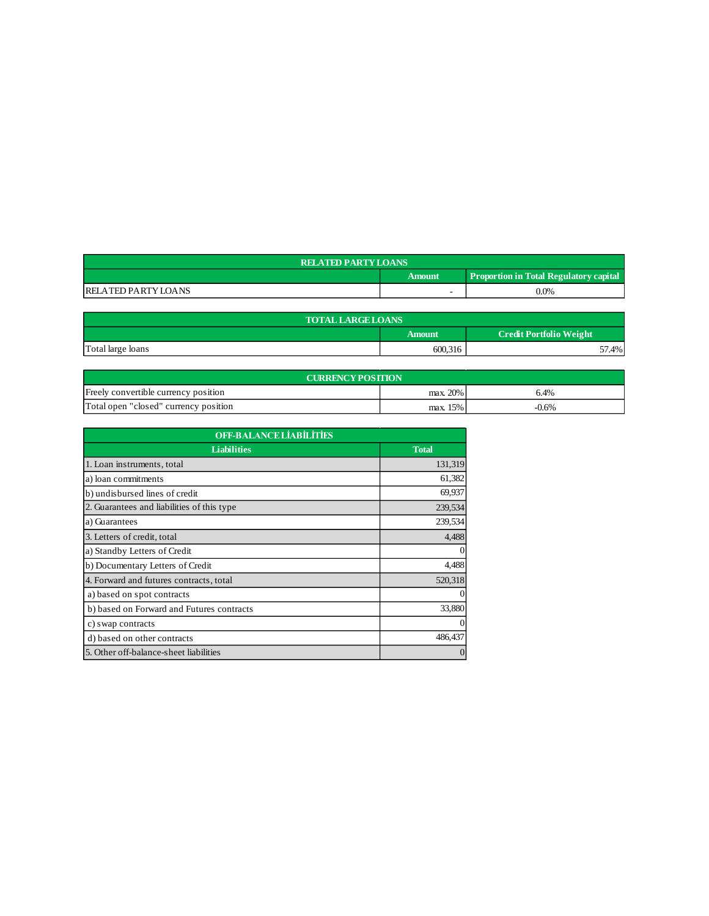| <b>RELATED PARTY LOANS</b> |        |                                               |  |
|----------------------------|--------|-----------------------------------------------|--|
|                            | Amount | <b>Proportion in Total Regulatory capital</b> |  |
| <b>RELATED PARTY LOANS</b> |        | $0.0\%$                                       |  |

| <b>TOTAL LARGE LOANS</b>                        |         |       |  |  |  |
|-------------------------------------------------|---------|-------|--|--|--|
| <b>Credit Portfolio Weight</b><br><b>Amount</b> |         |       |  |  |  |
| Total large loans                               | 600,316 | 4%، ر |  |  |  |

| <b>CURRENCY POSITION</b>              |          |         |  |
|---------------------------------------|----------|---------|--|
| Freely convertible currency position  | max. 20% | 6.4%    |  |
| Total open "closed" currency position | max. 15% | $-0.6%$ |  |

| <b>OFF-BALANCE LIABILITIES</b>             |              |  |
|--------------------------------------------|--------------|--|
| <b>Liabilities</b>                         | <b>Total</b> |  |
| 1. Loan instruments, total                 | 131,319      |  |
| a) loan commitments                        | 61,382       |  |
| b) undisbursed lines of credit             | 69,937       |  |
| 2. Guarantees and liabilities of this type | 239,534      |  |
| a) Guarantees                              | 239,534      |  |
| 3. Letters of credit, total                | 4,488        |  |
| a) Standby Letters of Credit               | $\theta$     |  |
| b) Documentary Letters of Credit           | 4,488        |  |
| 4. Forward and futures contracts, total    | 520,318      |  |
| a) based on spot contracts                 | $\Omega$     |  |
| b) based on Forward and Futures contracts  | 33,880       |  |
| c) swap contracts                          | $\mathbf{0}$ |  |
| d) based on other contracts                | 486,437      |  |
| 5. Other off-balance-sheet liabilities     | $\Omega$     |  |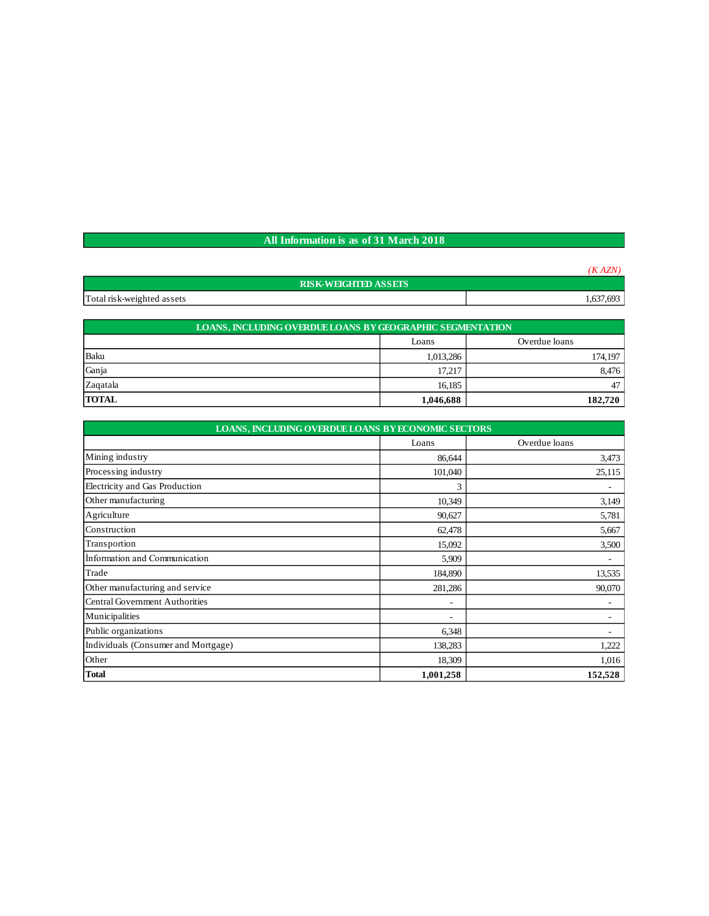## **All Information is as of 31 March 2018**

|                             | (KAZN)    |
|-----------------------------|-----------|
| <b>RISK-WEIGHTED ASSETS</b> |           |
| Total risk-weighted assets  | 1,637,693 |

| <b>LOANS, INCLUDING OVERDUE LOANS BY GEOGRAPHIC SEGMENTATION</b> |                        |         |  |  |  |
|------------------------------------------------------------------|------------------------|---------|--|--|--|
|                                                                  | Overdue loans<br>Loans |         |  |  |  |
| Baku                                                             | 1,013,286              | 174,197 |  |  |  |
| Ganja                                                            | 17,217                 |         |  |  |  |
| Zagatala                                                         | 16,185                 | 47      |  |  |  |
| <b>TOTAL</b>                                                     | 1,046,688              | 182,720 |  |  |  |

| <b>LOANS, INCLUDING OVERDUE LOANS BY ECONOMIC SECTORS</b> |           |               |  |  |
|-----------------------------------------------------------|-----------|---------------|--|--|
|                                                           | Loans     | Overdue loans |  |  |
| Mining industry                                           | 86,644    | 3,473         |  |  |
| Processing industry                                       | 101,040   | 25,115        |  |  |
| Electricity and Gas Production                            | 3         | ۰             |  |  |
| Other manufacturing                                       | 10,349    | 3,149         |  |  |
| Agriculture                                               | 90,627    | 5,781         |  |  |
| Construction                                              | 62,478    | 5,667         |  |  |
| Transportion                                              | 15,092    | 3,500         |  |  |
| Information and Communication                             | 5,909     | ÷             |  |  |
| Trade                                                     | 184,890   | 13,535        |  |  |
| Other manufacturing and service                           | 281,286   | 90,070        |  |  |
| Central Government Authorities                            | ٠         | ۰             |  |  |
| Municipalities                                            | ٠         |               |  |  |
| Public organizations                                      | 6,348     |               |  |  |
| Individuals (Consumer and Mortgage)                       | 138,283   | 1,222         |  |  |
| Other                                                     | 18,309    | 1,016         |  |  |
| <b>Total</b>                                              | 1,001,258 | 152,528       |  |  |